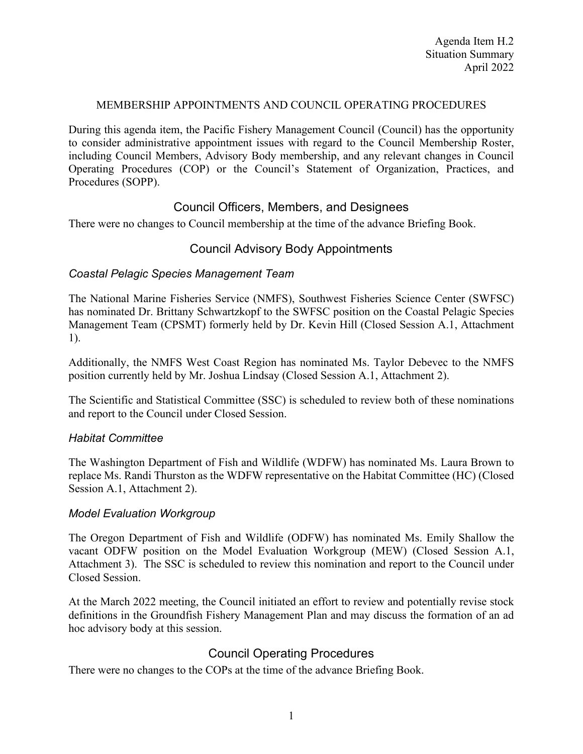### MEMBERSHIP APPOINTMENTS AND COUNCIL OPERATING PROCEDURES

During this agenda item, the Pacific Fishery Management Council (Council) has the opportunity to consider administrative appointment issues with regard to the Council Membership Roster, including Council Members, Advisory Body membership, and any relevant changes in Council Operating Procedures (COP) or the Council's Statement of Organization, Practices, and Procedures (SOPP).

## Council Officers, Members, and Designees

There were no changes to Council membership at the time of the advance Briefing Book.

# Council Advisory Body Appointments

## *Coastal Pelagic Species Management Team*

The National Marine Fisheries Service (NMFS), Southwest Fisheries Science Center (SWFSC) has nominated Dr. Brittany Schwartzkopf to the SWFSC position on the Coastal Pelagic Species Management Team (CPSMT) formerly held by Dr. Kevin Hill (Closed Session A.1, Attachment 1).

Additionally, the NMFS West Coast Region has nominated Ms. Taylor Debevec to the NMFS position currently held by Mr. Joshua Lindsay (Closed Session A.1, Attachment 2).

The Scientific and Statistical Committee (SSC) is scheduled to review both of these nominations and report to the Council under Closed Session.

#### *Habitat Committee*

The Washington Department of Fish and Wildlife (WDFW) has nominated Ms. Laura Brown to replace Ms. Randi Thurston as the WDFW representative on the Habitat Committee (HC) (Closed Session A.1, Attachment 2).

#### *Model Evaluation Workgroup*

The Oregon Department of Fish and Wildlife (ODFW) has nominated Ms. Emily Shallow the vacant ODFW position on the Model Evaluation Workgroup (MEW) (Closed Session A.1, Attachment 3). The SSC is scheduled to review this nomination and report to the Council under Closed Session.

At the March 2022 meeting, the Council initiated an effort to review and potentially revise stock definitions in the Groundfish Fishery Management Plan and may discuss the formation of an ad hoc advisory body at this session.

# Council Operating Procedures

There were no changes to the COPs at the time of the advance Briefing Book.